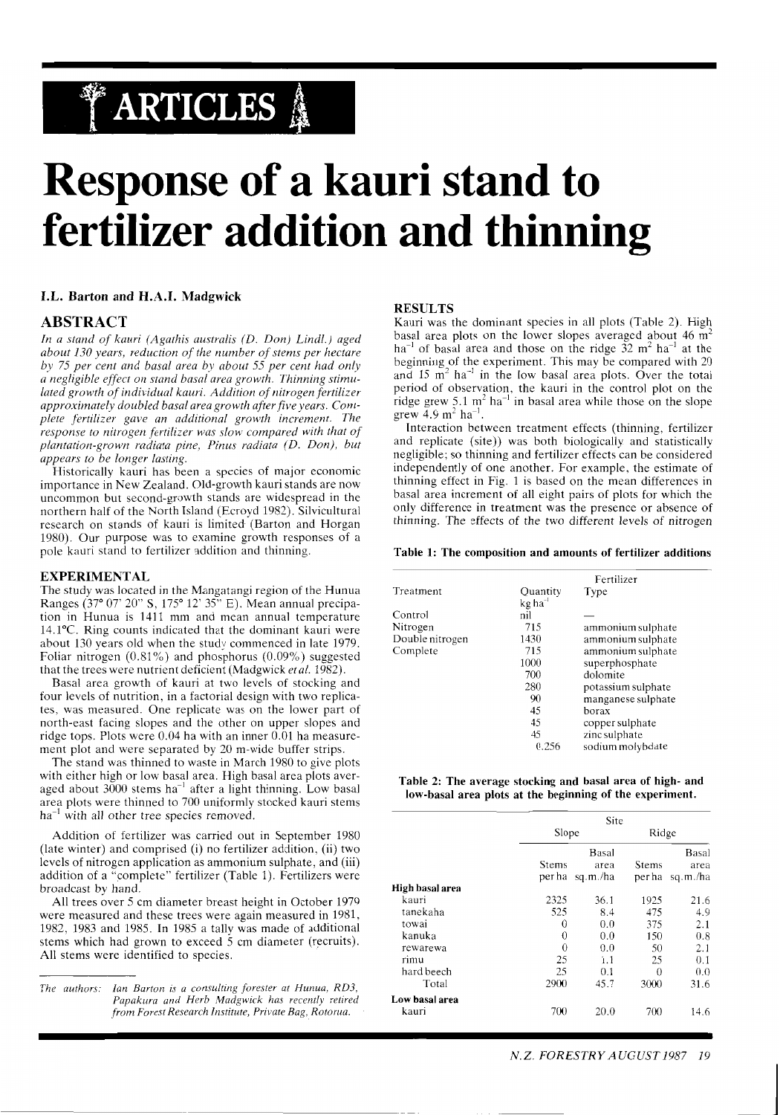## **TARTICLES** &

# **Response of a kauri stand to fertilizer addition and thinning**

**I.L. Barton and H.A.I. Madgwick** 

#### **ABSTRACT**

*In a stand of kauri (Agathis australis (D. Don) Lindl.) aged about 130 years, reduction of the number of stems per hectare by 75 per cent and basal area by about 55 per cent had only a negligible effect on stand basal area growth. Thinning stimulated growth of individual kauri. Addition of nitrogen fertilizer approximately doubled basal area growth after five years. Complete fertilizer gave an additional growth increment. The response to nitrogen fertilizer was slow compared with that of* plantation-grown radiata pine, Pinus radiata (D. Don), but *appears to be longer lasting.* 

Historically kauri has been a species of major economic importance in New Zealand. Old-growth kauri stands are now uncommon but second-growth stands are widespread in the northern half of the North Island (Ecroyd 1982). Silvicultural research on stands of kauri is limited. (Barton and Horgan 1980). Our purpose was to examine growth responses of a pole kauri stand to fertilizer addition and thinning.

#### **EXPERIMENTAL**

The study was located in the Mangatangi region of the Hunua Ranges (37° 07' 20" S, 175° 12' 35" E). Mean annual precipation in Hunua is 1411 mm and mean annual temperature 14.1°C. Ring counts indicated that the dominant kauri were about 130 years old when the study commenced in late 1979. Foliar nitrogen (0.81%) and phosphorus (0.09%) suggested that the trees were nutrient deficient (Madgwick *etal.* 1982).

Basal area growth of kauri at two levels of stocking and four levels of nutrition. in a factorial design with two replicates, was measured. One replicate was on the lower part of north-east facing slopes and the other on upper slopes and ridge tops. Plots were 0.04 ha with an inner 0.01 ha measurement plot and were separated by 20 m-wide buffer strips.

The stand was thinned to waste in March 1980 to give plots with either high or low basal area. High basal area plots averaged about 3000 stems ha<sup>-1</sup> after a light thinning. Low basal area plots were thinned to 700 uniformly stocked kauri stems  $ha^{-1}$  with all other tree species removed.

Addition of fertilizer was carried out in September 1980 (late winter) and comprised (i) no fertilizer addition, (ii) two levels of nitrogen application as ammonium sulphate, and (iii) addition of a "complete" fertilizer (Table 1). Fertilizers were broadcast by hand.

All trees over 5 cm diameter breast height in October 1979 were measured and these trees were again measured in 1981, 1982, 1983 and 1985. In 1985 a tally was made of additional stems which had grown to exceed 5 cm diameter (recruits). All stems were identified to species.

#### **RESULTS**

Kauri was the dominant species in all plots (Table 2). High basal area plots on the lower slopes averaged about 46 m<sup>2</sup>  $ha^{-1}$  of basal area and those on the ridge  $\tilde{32}$  m<sup>2</sup> ha<sup>-1</sup> at the beginning of the experiment. This may be compared with 20 and 15  $\text{m}^2$  ha<sup>-1</sup> in the low basal area plots. Over the total period of observation, the kauri in the control plot on the ridge grew 5.1  $m<sup>2</sup>$  ha<sup>-1</sup> in basal area while those on the slope grew  $4.9 \text{ m}^2 \text{ ha}^{-1}$ .

Interaction between treatment effects (thinning, fertilizer and replicate (site)) was both biologically and statistically negligible; so thinning and fertilizer effects can be considered independently of one another. For example, the estimate of thinning effect in Fig. 1 is based on the mean differences in basal area increment of all eight pairs of plots for which the only difference in treatment was the presence or absence of thinning. The effects of the two different levels of nitrogen

#### **Table 1: The composition and amounts of fertilizer additions**

|                 | Fertilizer            |                    |  |  |
|-----------------|-----------------------|--------------------|--|--|
| Treatment       | Quantity              | Type               |  |  |
|                 | $kg$ ha <sup>-1</sup> |                    |  |  |
| Control         | nil                   |                    |  |  |
| Nitrogen        | 715                   | ammonium sulphate  |  |  |
| Double nitrogen | 1430                  | ammonium sulphate  |  |  |
| Complete        | 715                   | ammonium sulphate  |  |  |
|                 | 1000                  | superphosphate     |  |  |
|                 | 700                   | dolomite           |  |  |
|                 | 280                   | potassium sulphate |  |  |
|                 | 90                    | manganese sulphate |  |  |
|                 | 45                    | borax              |  |  |
|                 | 45                    | copper sulphate    |  |  |
|                 | 45                    | zinc sulphate      |  |  |
|                 | 0.256                 | sodium molybdate   |  |  |

**Table 2: The average stocking and basal area of high- and low-basal area plots at the beginning of the experiment.** 

|                 |          | Site     |              |          |  |  |
|-----------------|----------|----------|--------------|----------|--|--|
|                 | Slope    |          | Ridge        |          |  |  |
|                 |          | Basal    |              | Basal    |  |  |
|                 | Stems    | area     | <b>Stems</b> | area     |  |  |
|                 | per ha   | sq.m./ha | per ha       | sq.m./ha |  |  |
| High basal area |          |          |              |          |  |  |
| kauri           | 2325     | 36.1     | 1925         | 21.6     |  |  |
| tanekaha        | 525      | 8.4      | 475          | 4.9      |  |  |
| towai           | 0        | 0.0      | 375          | 2.1      |  |  |
| kanuka          | 0        | 0.0      | 150          | 0.8      |  |  |
| rewarewa        | $\theta$ | 0.0      | 50           | 2.1      |  |  |
| rimu            | 25       | 1.1      | 25           | 0.1      |  |  |
| hard beech      | 25       | 0.1      | $\theta$     | 0.0      |  |  |
| Total           | 2900     | 45.7     | 3000         | 31.6     |  |  |
| Low basal area  |          |          |              |          |  |  |
| kauri           | 700      | 20.0     | 700          | 14.6     |  |  |

*The authors: Ian Barton is a consulting forester at Hunua, RD3,*  Papakura and Herb Madgwick has recently retired *from Forest Research Institute, Private Bag, Rotorua.*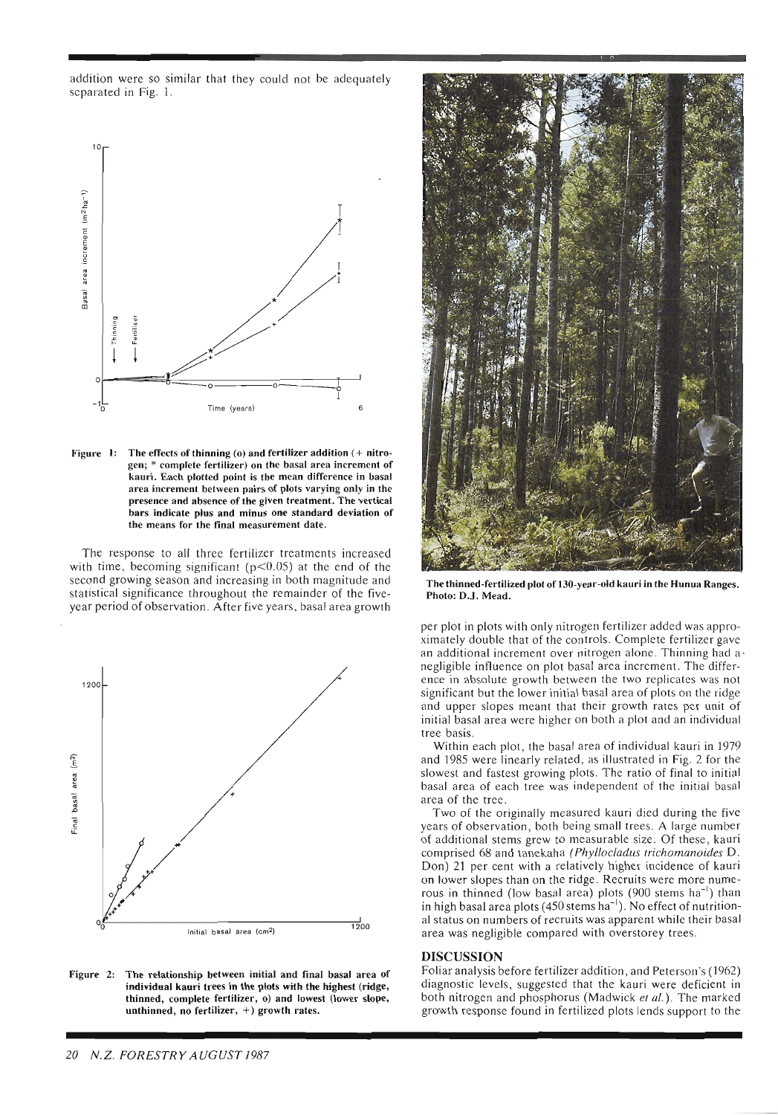addition were so similar that they could not be adequately scparated in Fig. 1.



Figure 1: The effects of thinning (0) and fertilizer addition (+ nitrogen; \* complete fertilizer) on the basal area increment of kauri. Each plotted point is the mean difference in basal area increment between pairs of plots varying only in the presence and absence of the given treatment. The vertical bars indicate plus and minus one standard deviation of the means for the final measurement date.

The response to all three fertilizer treatments increased with time, becoming significant ( $p$ <0.05) at the end of the second growing season and increasing in both magnitude and statistical significance throughout the remainder of the fiveyear period of observation. After five years, basal area growth



Figure 2: The relationship between initial and final basal area of individual kauri trees in the plots with the highest (ridge, thinned, complete fertilizer, o) and lowest (lower slope, unthinned, no fertilizer, +) growth rates.



The thinned-fertilized plot of 130-year-old kauri in the Hunua Ranges. Photo: D.J. Mead.

per plot in plots with only nitrogen fertilizer added was approximately double that of the controls. Complete fertilizer gave an additional increment over nitrogen alone. Thinning had a negligible influence on plot basal area increment. The difference in absolute growth between the two replicates was not significant but the lower initial basal area of plots on the ridge and upper slopes meant that their growth rates per unit of initial basal area were higher on both a plot and an individual tree basis.

Within each plot, the basal area of individual kauri in 1979 and 1985 were linearly related, as illustrated in Fig. 2 for the slowest and fastest growing plots. The ratio of final to initial basal area of each tree was independent of the initial basal area of the tree.

Two of the originally measured kauri died during the five years of observation, both being small trees. A large number of additional stems grew to measurable size. Of these, kauri comprised 68 and tanekaha (Phyllocladus trichomanoides D. Don) 21 per cent with a relatively higher incidence of kauri on lower slopes than on the ridge. Recruits were more numerous in thinned (low basal area) plots  $(900 \text{ stems ha}^{-1})$  than in high basal area plots  $(450 \text{ stems ha}^{-1})$ . No effect of nutritional status on numbers of recruits was apparent while their basal area was negligible compared with overstorey trees.

#### DISCUSSION

Foliar analysis before fertilizer addition, and Peterson's (1962) diagnostic levels, suggested that the kauri were deficient in both nitrogen and phosphorus (Madwick et al.). The marked growth response found in fertilized plots lends support to the